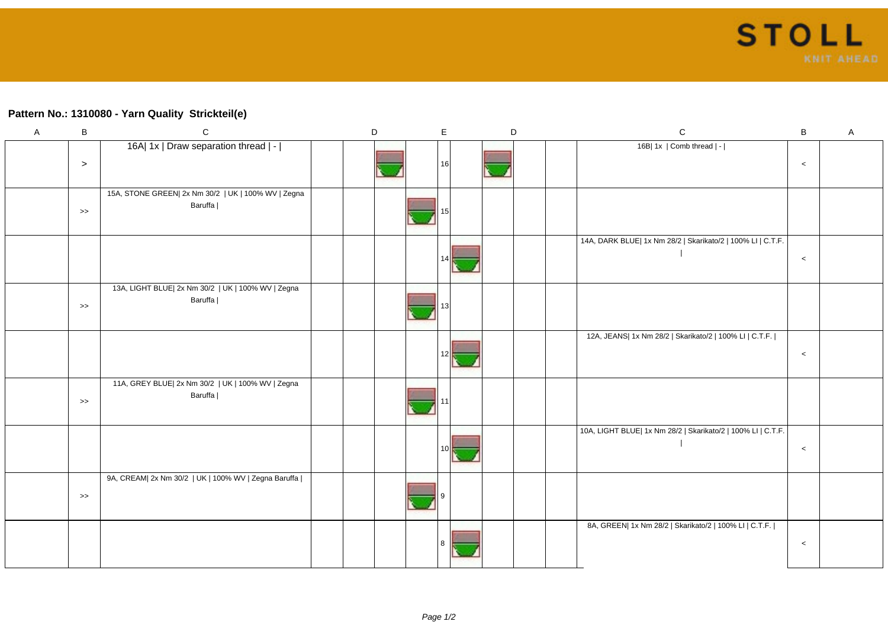## **Pattern No.: 1310080 - Yarn Quality Strickteil(e)**

| $\mathsf A$ | $\, {\sf B}$     | $\mathsf C$                                                    | $\mathsf D$ | E  | D | ${\bf C}$                                                    | $\, {\bf B}$ | $\boldsymbol{\mathsf{A}}$ |
|-------------|------------------|----------------------------------------------------------------|-------------|----|---|--------------------------------------------------------------|--------------|---------------------------|
|             | $\geq$           | 16A  1x   Draw separation thread   -                           |             | 16 |   | 16B  1x   Comb thread   -                                    | $\,<$        |                           |
|             | $\rightarrow$    | 15A, STONE GREEN  2x Nm 30/2   UK   100% WV   Zegna<br>Baruffa |             |    |   |                                                              |              |                           |
|             |                  |                                                                |             |    |   | 14A, DARK BLUE  1x Nm 28/2   Skarikato/2   100% LI   C.T.F.  | $\,<$        |                           |
|             | $\boldsymbol{>}$ | 13A, LIGHT BLUE  2x Nm 30/2   UK   100% WV   Zegna<br>Baruffa  |             |    |   |                                                              |              |                           |
|             |                  |                                                                |             |    |   | 12A, JEANS  1x Nm 28/2   Skarikato/2   100% LI   C.T.F.      | $\,<$        |                           |
|             | $\rightarrow$    | 11A, GREY BLUE  2x Nm 30/2   UK   100% WV   Zegna<br>Baruffa   |             |    |   |                                                              |              |                           |
|             |                  |                                                                |             |    |   | 10A, LIGHT BLUE  1x Nm 28/2   Skarikato/2   100% LI   C.T.F. | $\,<$        |                           |
|             | $\rightarrow$    | 9A, CREAM  2x Nm 30/2   UK   100% WV   Zegna Baruffa           |             |    |   |                                                              |              |                           |
|             |                  |                                                                |             |    |   | 8A, GREEN  1x Nm 28/2   Skarikato/2   100% LI   C.T.F.       | $\,<$        |                           |